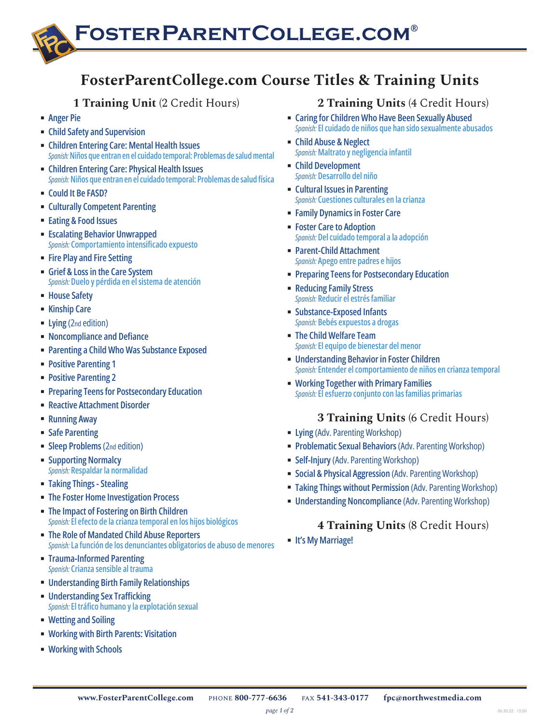# **FosterParentCollege.com®**

## **FosterParentCollege.com Course Titles & Training Units**

## **1 Training Unit** (2 Credit Hours)

- **[Anger Pie](http://www.fosterparentcollege.com/course-info/angerpie)**
- **[Child Safety and Supervision](http://www.fosterparentcollege.com/course-info/childsafety)**
- **[Children Entering Care: Mental Health Issues](http://www.fosterparentcollege.com/course-info/mental-health)** *Spanish:* **[Niños que entran en el cuidado temporal: Problemas de salud m](https://www.fosterparentcollege.com/course-info/mental-health-sp)ental**
- **[Children Entering Care: Physical Health Issues](http://www.fosterparentcollege.com/course-info/generalhealth)** *Spanish:* **[Niños que entran en el cuidado temporal: Problemas de salud física](https://www.fosterparentcollege.com/course-info/generalhealth-sp)**
- **[Could It Be FASD?](https://www.fosterparentcollege.com/course-info/fasd)**
- **[Culturally Competent Parenting](http://www.fosterparentcollege.com/course-info/cultural)**
- **[Eating & Food Issues](https://www.fosterparentcollege.com/course-info/eating-food-issue)**
- **[Escalating Behavior Unwrapped](https://www.fosterparentcollege.com/course-info/de-escalation)** *Spanish:* **[Comportamiento intensificado expuesto](https://www.fosterparentcollege.com/course-info/de-escalation-sp)**
- [Fire Play and Fire Setting](http://www.fosterparentcollege.com/course-info/firesetting-re)
- **[Grief & Loss in the Care System](http://www.fosterparentcollege.com/course-info/griefloss)** *Spanish:* **[Duelo y pérdida en el sistema de atención](https://www.fosterparentcollege.com/course-info/griefloss-sp)**
- **[House Safety](http://www.fosterparentcollege.com/course-info/house)**
- **[Kinship Care](http://www.fosterparentcollege.com/course-info/kinship)**
- **Example 1** Lying [\(2nd edition\)](http://www.fosterparentcollege.com/course-info/lying-re)
- **[Noncompliance and Defiance](http://www.fosterparentcollege.com/course-info/noncomp)**
- **[Parenting a Child Who Was Substance Exposed](http://www.fosterparentcollege.com/course-info/seties)**
- **[Positive Parenting 1](http://www.fosterparentcollege.com/course-info/positive1-re)**
- **[Positive Parenting 2](http://www.fosterparentcollege.com/course-info/positive2-re)**
- **[Preparing Teens for Postsecondary Education](https://www.fosterparentcollege.com/course-info/college-readiness)**
- **[Reactive Attachment Disorder](http://www.fosterparentcollege.com/course-info/rad)**
- **[Running Away](http://www.fosterparentcollege.com/course-info/running)**
- **[Safe Parenting](http://www.fosterparentcollege.com/course-info/safe)**
- **[Sleep Problems](http://www.fosterparentcollege.com/course-info/sleep-re)** (2nd edition)
- **[Supporting Normalcy](http://www.fosterparentcollege.com/course-info/normalcy)** *Spanish:* **[Respaldar la normalidad](https://www.fosterparentcollege.com/course-info/normalcy-sp)**
- **[Taking Things Stealing](http://www.fosterparentcollege.com/course-info/takingthings)**
- **EXECTE: [The Foster Home Investigation Process](http://www.fosterparentcollege.com/course-info/investigations-re)**
- **[The Impact of Fostering on Birth Children](http://www.fosterparentcollege.com/course-info/birthchildren)** *Spanish:* **[El efecto de la crianza temporal en los hijos](http://www.fosterparentcollege.com/course-info/birthchildren-sp) biológicos**
- **[The Role of Mandated Child Abuse Reporters](http://www.fosterparentcollege.com/course-info/mandatory)** *Spanish:* **[La función de los denunciantes obligatorios de abuso de menores](https://www.fosterparentcollege.com/course-info/mandatory-sp)**
- **[Trauma-Informed Parenting](http://www.fosterparentcollege.com/course-info/trauma-informed)** *Spanish:* **[Crianza sensible al trauma](http://www.fosterparentcollege.com/course-info/trauma-informed-sp)**
- **[Understanding Birth Family Relationships](https://www.fosterparentcollege.com/course-info/birthrelationships)**
- **[Understanding Sex Trafficking](https://www.fosterparentcollege.com/course-info/csec)** *Spanish:* **[El tráfico humano y la explotación sexual](https://www.fosterparentcollege.com/course-info/csec-sp)**
- **[Wetting and Soiling](http://www.fosterparentcollege.com/course-info/wetting)**
- **[Working with Birth Parents: Visitation](https://www.fosterparentcollege.com/course-info/visitation)**
- **[Working with Schools](http://www.fosterparentcollege.com/course-info/schools)**

## **2 Training Units** (4 Credit Hours)

- **Example 1** [Caring for Children Who Have Been Sexually Abused](http://www.fosterparentcollege.com/course-info/ps9-sex-abuse) *Spanish:* **[El cuidado de niños que han sido sexualmente abusados](http://www.fosterparentcollege.com/course-info/ps9-sex-abuse-sp)**
- **[Child Abuse & Neglect](http://www.fosterparentcollege.com/course-info/ps3-abuse-neglect)** *Spanish:* **[Maltrato y negligencia infantil](http://www.fosterparentcollege.com/course-info/ps3-abuse-neglect-sp)**
- **[Child Development](http://www.fosterparentcollege.com/course-info/ps4-child-development)** *Spanish:* **[Desarrollo del niño](http://www.fosterparentcollege.com/course-info/ps4-child-develop-sp)**
- **[Cultural Issues in Parenting](http://www.fosterparentcollege.com/course-info/ps7-cultural)** *Spanish:* **[Cuestiones culturales en la crianza](http://www.fosterparentcollege.com/course-info/ps7-cultural-sp)**
- **EXAMPLE FAMILY Dynamics in Foster Care**
- **[Foster Care to Adoption](http://www.fosterparentcollege.com/course-info/ps11-adopt)** *Spanish:* **[Del cuidado temporal a la adopción](http://www.fosterparentcollege.com/course-info/ps11-adopt-sp)**
- **[Parent-Child Attachment](http://www.fosterparentcollege.com/course-info/ps5-attachment)** *Spanish:* **[Apego entre padres e hijos](http://www.fosterparentcollege.com/course-info/ps5-attachment-sp)**
- **Example 1 [Preparing Teens for Postsecondary Education](https://www.fosterparentcollege.com/course-info/college-readiness)**
- **[Reducing Family Stress](http://www.fosterparentcollege.com/course-info/ps10-preserve)** *Spanish:* **[Reducir el estrés familiar](http://www.fosterparentcollege.com/course-info/ps10-preserve-sp)**
- **[Substance-Exposed Infants](http://www.fosterparentcollege.com/course-info/sei)** *Spanish:* **[Bebés expuestos a drogas](http://www.fosterparentcollege.com/course-info/sei-sp)**
- **[The Child Welfare Team](http://www.fosterparentcollege.com/course-info/ps2-welfare-team)** *Spanish:* **[El equipo de bienestar del menor](http://www.fosterparentcollege.com/course-info/ps2-welfare-team-sp)**
- **[Understanding Behavior in Foster Children](http://www.fosterparentcollege.com/course-info/ps6-behavior)** *Spanish:* **[Entender el comportamiento de niños en crianza temporal](http://www.fosterparentcollege.com/course-info/ps6-behavior-sp)**
- **[Working Together with Primary Families](http://www.fosterparentcollege.com/course-info/ps8-primary)** *Spanish:* **[El esfuerzo conjunto con las familias primarias](http://www.fosterparentcollege.com/course-info/ps8-primary-sp)**

## **3 Training Units** (6 Credit Hours)

- **Example 2 Lying [\(Adv. Parenting Workshop\)](http://www.fosterparentcollege.com/course-info/lying-aws)**
- **[Problematic Sexual Behaviors](http://www.fosterparentcollege.com/course-info/sex-dev) (Adv. Parenting Workshop)**
- **Example 3 Self-Injury [\(Adv. Parenting Workshop\)](http://www.fosterparentcollege.com/course-info/selfinjury-ws)**
- **EXECTAL & Physical Aggression** (Adv. Parenting Workshop)
- **EXECT:** [Taking Things without Permission](http://www.fosterparentcollege.com/course-info/takingthings-ws) (Adv. Parenting Workshop)
- **E** [Understanding Noncompliance](http://www.fosterparentcollege.com/course-info/noncomp-ws) (Adv. Parenting Workshop)

## **4 Training Units** (8 Credit Hours)

▪ **[It's My Marriage!](https://www.fosterparentcollege.com/course-info/imm)**